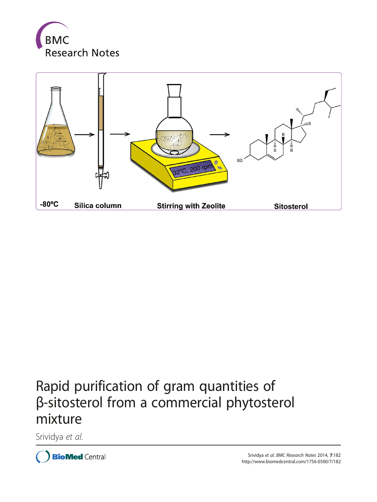



# Rapid purification of gram quantities of β-sitosterol from a commercial phytosterol mixture

Srividya et al.

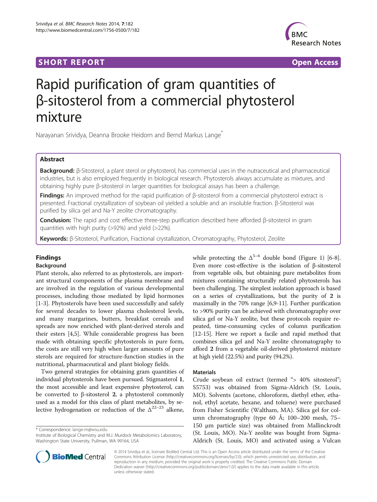## **SHORT REPORT SHORT CONSUMING THE SHORT CONSUMING THE SHORT CONSUMING THE SHORT CONSUMING THE SHORT CONSUMING THE SHORT CONSUMING THE SHORT CONSUMING THE SHORT CONSUMING THE SHORT CONSUMING THE SHORT CONSUMING THE SHORT**



## Rapid purification of gram quantities of β-sitosterol from a commercial phytosterol mixture

Narayanan Srividya, Deanna Brooke Heidorn and Bernd Markus Lange\*

## Abstract

Background: β-Sitosterol, a plant sterol or phytosterol, has commercial uses in the nutraceutical and pharmaceutical industries, but is also employed frequently in biological research. Phytosterols always accumulate as mixtures, and obtaining highly pure β-sitosterol in larger quantities for biological assays has been a challenge.

**Findings:** An improved method for the rapid purification of β-sitosterol from a commercial phytosterol extract is presented. Fractional crystallization of soybean oil yielded a soluble and an insoluble fraction. β-Sitosterol was purified by silica gel and Na-Y zeolite chromatography.

Conclusion: The rapid and cost effective three-step purification described here afforded β-sitosterol in gram quantities with high purity (>92%) and yield (>22%).

Keywords: β-Sitosterol, Purification, Fractional crystallization, Chromatography, Phytosterol, Zeolite

## Findings

## Background

Plant sterols, also referred to as phytosterols, are important structural components of the plasma membrane and are involved in the regulation of various developmental processes, including those mediated by lipid hormones [[1-3](#page-4-0)]. Phytosterols have been used successfully and safely for several decades to lower plasma cholesterol levels, and many margarines, butters, breakfast cereals and spreads are now enriched with plant-derived sterols and their esters [\[4,5](#page-4-0)]. While considerable progress has been made with obtaining specific phytosterols in pure form, the costs are still very high when larger amounts of pure sterols are required for structure-function studies in the nutritional, pharmaceutical and plant biology fields.

Two general strategies for obtaining gram quantities of individual phytosterols have been pursued. Stigmasterol 1, the most accessible and least expensive phytosterol, can be converted to β-sitosterol 2, a phytosterol commonly used as a model for this class of plant metabolites, by selective hydrogenation or reduction of the  $\Delta^{22-23}$  alkene,

\* Correspondence: [lange-m@wsu.edu](mailto:lange-m@wsu.edu)



## Materials

Crude soybean oil extract (termed "> 40% sitosterol"; S5753) was obtained from Sigma-Aldrich (St. Louis, MO). Solvents (acetone, chloroform, diethyl ether, ethanol, ethyl acetate, hexane, and toluene) were purchased from Fisher Scientific (Waltham, MA). Silica gel for column chromatography (type 60 Å; 100–200 mesh, 75– 150 μm particle size) was obtained from Mallinckrodt (St. Louis, MO). Na-Y zeolite was bought from Sigma-Aldrich (St. Louis, MO) and activated using a Vulcan



© 2014 Srividya et al.; licensee BioMed Central Ltd. This is an Open Access article distributed under the terms of the Creative Commons Attribution License [\(http://creativecommons.org/licenses/by/2.0\)](http://creativecommons.org/licenses/by/2.0), which permits unrestricted use, distribution, and reproduction in any medium, provided the original work is properly credited. The Creative Commons Public Domain Dedication waiver [\(http://creativecommons.org/publicdomain/zero/1.0/](http://creativecommons.org/publicdomain/zero/1.0/)) applies to the data made available in this article, unless otherwise stated.

Institute of Biological Chemistry and M.J. Murdock Metabolomics Laboratory, Washington State University, Pullman, WA 99164, USA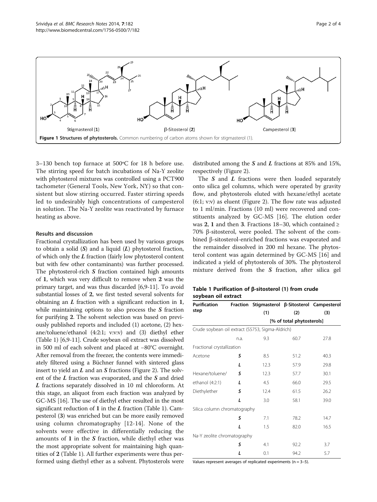<span id="page-2-0"></span>

3–130 bench top furnace at 500ºC for 18 h before use. The stirring speed for batch incubations of Na-Y zeolite with phytosterol mixtures was controlled using a PCT900 tachometer (General Tools, New York, NY) so that consistent but slow stirring occurred. Faster stirring speeds led to undesirably high concentrations of campesterol in solution. The Na-Y zeolite was reactivated by furnace heating as above.

### Results and discussion

Fractional crystallization has been used by various groups to obtain a solid  $(S)$  and a liquid  $(L)$  phytosterol fraction, of which only the  $L$  fraction (fairly low phytosterol content but with few other contaminants) was further processed. The phytosterol-rich S fraction contained high amounts of 1, which was very difficult to remove when 2 was the primary target, and was thus discarded [\[6,9-11\]](#page-4-0). To avoid substantial losses of 2, we first tested several solvents for obtaining an  $L$  fraction with a significant reduction in  $1$ , while maintaining options to also process the S fraction for purifying 2. The solvent selection was based on previously published reports and included (1) acetone, (2) hexane/toluene/ethanol (4:2:1; v:v:v) and (3) diethyl ether (Table 1) [\[6,9-11](#page-4-0)]. Crude soybean oil extract was dissolved in 500 ml of each solvent and placed at −80°C overnight. After removal from the freezer, the contents were immediately filtered using a Büchner funnel with sintered glass insert to yield an  $L$  and an  $S$  fractions (Figure [2](#page-3-0)). The solvent of the L fraction was evaporated, and the S and dried L fractions separately dissolved in 10 ml chloroform. At this stage, an aliquot from each fraction was analyzed by GC-MS [\[16\]](#page-4-0). The use of diethyl ether resulted in the most significant reduction of 1 in the  $L$  fraction (Table 1). Campesterol (3) was enriched but can be more easily removed using column chromatography [[12-14](#page-4-0)]. None of the solvents were effective in differentially reducing the amounts of 1 in the  $S$  fraction, while diethyl ether was the most appropriate solvent for maintaining high quantities of 2 (Table 1). All further experiments were thus performed using diethyl ether as a solvent. Phytosterols were distributed among the  $S$  and  $L$  fractions at 85% and 15%, respectively (Figure [2\)](#page-3-0).

The  $S$  and  $L$  fractions were then loaded separately onto silica gel columns, which were operated by gravity flow, and phytosterols eluted with hexane/ethyl acetate (6:1; v:v) as eluent (Figure [2](#page-3-0)). The flow rate was adjusted to 1 ml/min. Fractions (10 ml) were recovered and constituents analyzed by GC-MS [[16](#page-4-0)]. The elution order was 2, 1 and then 3. Fractions 18–30, which contained  $\ge$ 70% β-sitosterol, were pooled. The solvent of the combined β-sitosterol-enriched fractions was evaporated and the remainder dissolved in 200 ml hexane. The phytosterol content was again determined by GC-MS [\[16\]](#page-4-0) and indicated a yield of phytosterols of 30%. The phytosterol mixture derived from the  $S$  fraction, after silica gel

## Table 1 Purification of β-sitosterol (1) from crude soybean oil extract

| <b>Purification</b>                              |              | Fraction Stigmasterol β-Sitosterol Campesterol |      |      |  |
|--------------------------------------------------|--------------|------------------------------------------------|------|------|--|
| step                                             |              | (1)                                            | (2)  | (3)  |  |
|                                                  |              | [% of total phytosterols]                      |      |      |  |
| Crude soybean oil extract (S5753, Sigma-Aldrich) |              |                                                |      |      |  |
|                                                  | n.a.         | 9.3                                            | 60.7 | 27.8 |  |
| Fractional crystallization                       |              |                                                |      |      |  |
| Acetone                                          | S            | 8.5                                            | 51.2 | 40.3 |  |
|                                                  | L            | 12.3                                           | 57.9 | 29.8 |  |
| Hexane/toluene/                                  | S            | 12.3                                           | 57.7 | 30.1 |  |
| ethanol (4:2:1)                                  | $\mathbf{L}$ | 4.5                                            | 66.0 | 29.5 |  |
| Diethylether                                     | s            | 12.4                                           | 61.5 | 26.2 |  |
|                                                  | L            | 3.0                                            | 58.1 | 39.0 |  |
| Silica column chromatography                     |              |                                                |      |      |  |
|                                                  | s            | 7.1                                            | 78.2 | 14.7 |  |
|                                                  | L            | 1.5                                            | 82.0 | 16.5 |  |
| Na-Y zeolite chromatography                      |              |                                                |      |      |  |
|                                                  | S            | 4.1                                            | 92.2 | 3.7  |  |
|                                                  | L            | 0.1                                            | 94.2 | 5.7  |  |

Values represent averages of replicated experiments ( $n = 3-5$ ).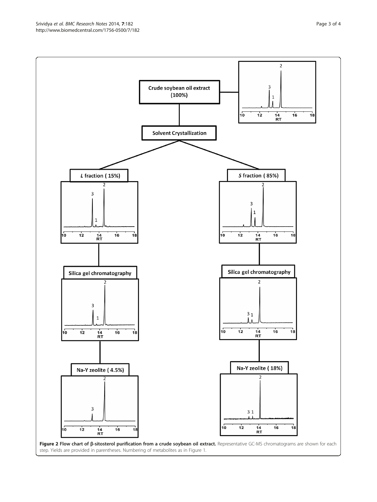<span id="page-3-0"></span>